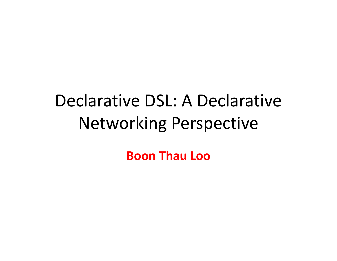# Declarative DSL: A Declarative Networking Perspective

**Boon Thau Loo**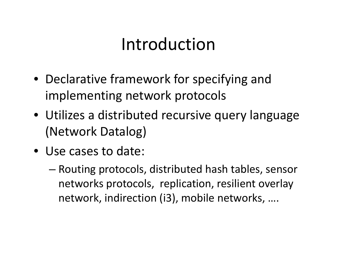#### Introduction

- Declarative framework for specifying and implementing network protocols
- Utilizes a distributed recursive query language (Network Datalog)
- Use cases to date:
	- Routing protocols, distributed hash tables, sensor networks protocols, replication, resilient overlay network, indirection (i3), mobile networks, ….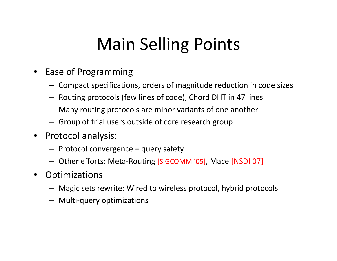## Main Selling Points

- Ease of Programming
	- Compact specifications, orders of magnitude reduction in code sizes
	- Routing protocols (few lines of code), Chord DHT in 47 lines
	- Many routing protocols are minor variants of one another
	- Group of trial users outside of core research group
- $\bullet$  Protocol analysis:
	- $-$  Protocol convergence = query safety
	- Other efforts: Meta‐Routing [SIGCOMM '05], Mace [NSDI 07]
- •**Optimizations** 
	- Magic sets rewrite: Wired to wireless protocol, hybrid protocols
	- Multi‐query optimizations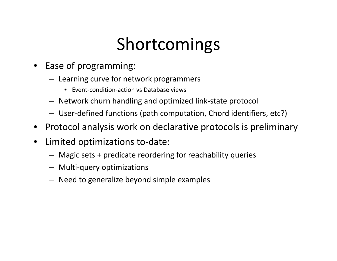### Shortcomings

- Ease of programming:
	- Learning curve for network programmers
		- Event‐condition‐action vs Database views
	- Network churn handling and optimized link‐state protocol
	- User-defined functions (path computation, Chord identifiers, etc?)
- •Protocol analysis work on declarative protocols is preliminary
- $\bullet$  Limited optimizations to‐date:
	- Magic sets <sup>+</sup> predicate reordering for reachability queries
	- Multi‐query optimizations
	- Need to generalize beyond simple examples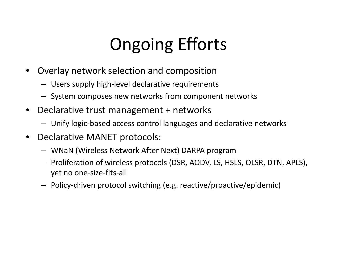# Ongoing Efforts

- • Overlay network selection and composition
	- Users supply high-level declarative requirements
	- System composes new networks from component networks
- • Declarative trust management <sup>+</sup> networks
	- Unify logic‐based access control languages and declarative networks
- • Declarative MANET protocols:
	- WNaN (Wireless Network After Next) DARPA program
	- Proliferation of wireless protocols (DSR, AODV, LS, HSLS, OLSR, DTN, APLS), yet no one‐size‐fits‐all
	- Policy‐driven protocol switching (e.g. reactive/proactive/epidemic)